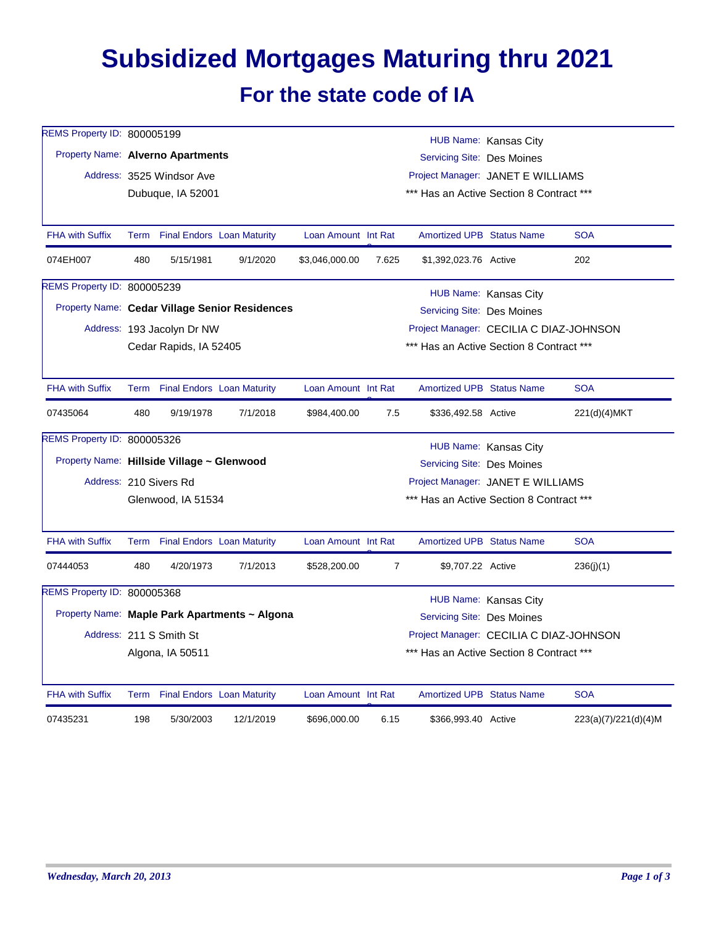## **Subsidized Mortgages Maturing thru 2021 For the state code of IA**

| REMS Property ID: 800005199        |                                                                              |                                 |                                               |                     |                                         |                                                     |                       |                      |  |  |
|------------------------------------|------------------------------------------------------------------------------|---------------------------------|-----------------------------------------------|---------------------|-----------------------------------------|-----------------------------------------------------|-----------------------|----------------------|--|--|
|                                    | Property Name: Alverno Apartments                                            |                                 |                                               |                     |                                         | HUB Name: Kansas City<br>Servicing Site: Des Moines |                       |                      |  |  |
|                                    |                                                                              | Address: 3525 Windsor Ave       |                                               |                     | Project Manager: JANET E WILLIAMS       |                                                     |                       |                      |  |  |
|                                    |                                                                              | Dubuque, IA 52001               |                                               |                     |                                         | *** Has an Active Section 8 Contract ***            |                       |                      |  |  |
|                                    |                                                                              |                                 |                                               |                     |                                         |                                                     |                       |                      |  |  |
| <b>FHA with Suffix</b>             |                                                                              | Term Final Endors Loan Maturity |                                               | Loan Amount Int Rat |                                         | <b>Amortized UPB Status Name</b>                    |                       | <b>SOA</b>           |  |  |
| 074EH007                           | 480                                                                          | 5/15/1981                       | 9/1/2020                                      | \$3,046,000.00      | 7.625                                   | \$1,392,023.76 Active                               |                       | 202                  |  |  |
| <b>REMS Property ID: 800005239</b> |                                                                              |                                 |                                               |                     |                                         |                                                     | HUB Name: Kansas City |                      |  |  |
|                                    | Property Name: Cedar Village Senior Residences<br>Servicing Site: Des Moines |                                 |                                               |                     |                                         |                                                     |                       |                      |  |  |
|                                    |                                                                              | Address: 193 Jacolyn Dr NW      |                                               |                     | Project Manager: CECILIA C DIAZ-JOHNSON |                                                     |                       |                      |  |  |
|                                    | Cedar Rapids, IA 52405                                                       |                                 |                                               |                     |                                         | *** Has an Active Section 8 Contract ***            |                       |                      |  |  |
|                                    |                                                                              |                                 |                                               |                     |                                         |                                                     |                       |                      |  |  |
| <b>FHA with Suffix</b>             |                                                                              | Term Final Endors Loan Maturity |                                               | Loan Amount Int Rat |                                         | <b>Amortized UPB Status Name</b>                    |                       | <b>SOA</b>           |  |  |
| 07435064                           | 480                                                                          | 9/19/1978                       | 7/1/2018                                      | \$984,400.00        | 7.5                                     | \$336,492.58 Active                                 |                       | 221(d)(4)MKT         |  |  |
| REMS Property ID: 800005326        |                                                                              |                                 |                                               |                     |                                         |                                                     | HUB Name: Kansas City |                      |  |  |
|                                    | Property Name: Hillside Village ~ Glenwood                                   |                                 |                                               |                     |                                         | Servicing Site: Des Moines                          |                       |                      |  |  |
|                                    | Address: 210 Sivers Rd<br>Project Manager: JANET E WILLIAMS                  |                                 |                                               |                     |                                         |                                                     |                       |                      |  |  |
|                                    | *** Has an Active Section 8 Contract ***<br>Glenwood, IA 51534               |                                 |                                               |                     |                                         |                                                     |                       |                      |  |  |
|                                    |                                                                              |                                 |                                               |                     |                                         |                                                     |                       |                      |  |  |
| <b>FHA with Suffix</b>             |                                                                              | Term Final Endors Loan Maturity |                                               | Loan Amount Int Rat |                                         | <b>Amortized UPB Status Name</b>                    |                       | <b>SOA</b>           |  |  |
| 07444053                           | 480                                                                          | 4/20/1973                       | 7/1/2013                                      | \$528,200.00        | $\overline{7}$                          | \$9,707.22 Active                                   |                       | 236(j)(1)            |  |  |
| REMS Property ID: 800005368        |                                                                              |                                 |                                               |                     |                                         |                                                     | HUB Name: Kansas City |                      |  |  |
|                                    |                                                                              |                                 | Property Name: Maple Park Apartments ~ Algona |                     |                                         | Servicing Site: Des Moines                          |                       |                      |  |  |
|                                    |                                                                              | Address: 211 S Smith St         |                                               |                     |                                         | Project Manager: CECILIA C DIAZ-JOHNSON             |                       |                      |  |  |
|                                    | *** Has an Active Section 8 Contract ***<br>Algona, IA 50511                 |                                 |                                               |                     |                                         |                                                     |                       |                      |  |  |
| <b>FHA with Suffix</b>             |                                                                              | Term Final Endors Loan Maturity |                                               | Loan Amount Int Rat |                                         | <b>Amortized UPB Status Name</b>                    |                       | <b>SOA</b>           |  |  |
|                                    |                                                                              |                                 |                                               |                     |                                         |                                                     |                       |                      |  |  |
| 07435231                           | 198                                                                          | 5/30/2003                       | 12/1/2019                                     | \$696,000.00        | 6.15                                    | \$366,993.40 Active                                 |                       | 223(a)(7)/221(d)(4)M |  |  |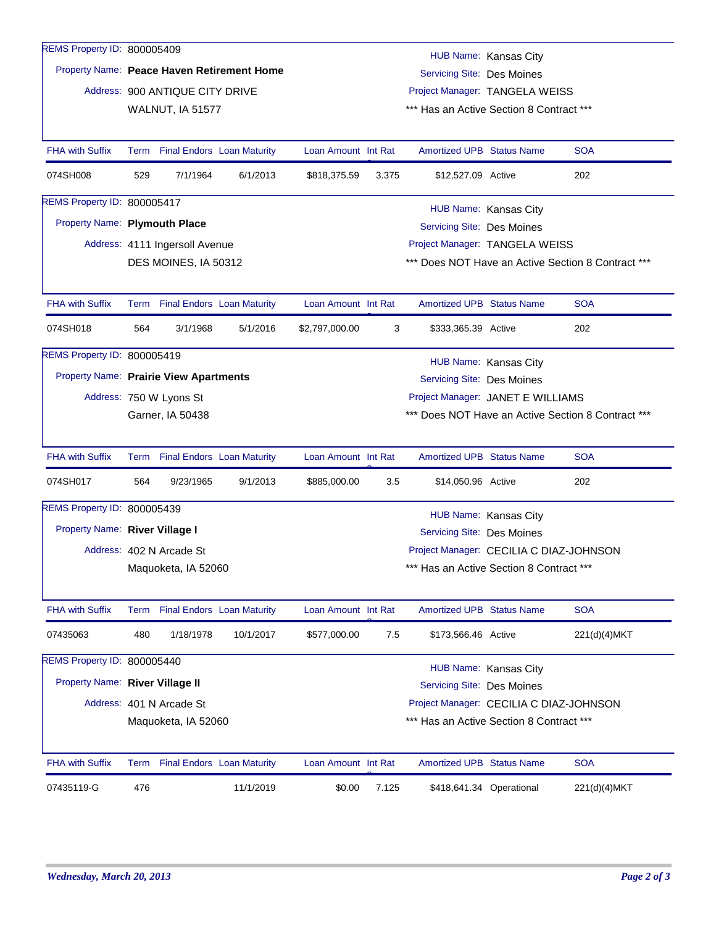| REMS Property ID: 800005409                |                                |                                 |                                   |                     |                                                    |                                          |                                   |                                                    |  |
|--------------------------------------------|--------------------------------|---------------------------------|-----------------------------------|---------------------|----------------------------------------------------|------------------------------------------|-----------------------------------|----------------------------------------------------|--|
| Property Name: Peace Haven Retirement Home |                                |                                 |                                   |                     |                                                    |                                          | HUB Name: Kansas City             |                                                    |  |
|                                            |                                |                                 |                                   |                     | <b>Servicing Site: Des Moines</b>                  |                                          |                                   |                                                    |  |
|                                            |                                | Address: 900 ANTIQUE CITY DRIVE |                                   |                     |                                                    | Project Manager: TANGELA WEISS           |                                   |                                                    |  |
|                                            |                                | WALNUT, IA 51577                |                                   |                     |                                                    | *** Has an Active Section 8 Contract *** |                                   |                                                    |  |
| <b>FHA with Suffix</b>                     |                                | Term Final Endors Loan Maturity |                                   | Loan Amount Int Rat |                                                    | <b>Amortized UPB Status Name</b>         |                                   | <b>SOA</b>                                         |  |
| 074SH008                                   | 529                            | 7/1/1964                        | 6/1/2013                          | \$818,375.59        | 3.375                                              | \$12,527.09 Active                       |                                   | 202                                                |  |
| REMS Property ID: 800005417                |                                |                                 |                                   |                     |                                                    |                                          | HUB Name: Kansas City             |                                                    |  |
| Property Name: Plymouth Place              |                                |                                 |                                   |                     |                                                    | Servicing Site: Des Moines               |                                   |                                                    |  |
|                                            |                                | Address: 4111 Ingersoll Avenue  |                                   |                     |                                                    |                                          | Project Manager: TANGELA WEISS    |                                                    |  |
|                                            |                                | DES MOINES, IA 50312            |                                   |                     | *** Does NOT Have an Active Section 8 Contract *** |                                          |                                   |                                                    |  |
| <b>FHA with Suffix</b>                     |                                |                                 |                                   | Loan Amount Int Rat |                                                    | <b>Amortized UPB Status Name</b>         |                                   | <b>SOA</b>                                         |  |
|                                            |                                | Term Final Endors Loan Maturity |                                   |                     |                                                    |                                          |                                   |                                                    |  |
| 074SH018                                   | 564                            | 3/1/1968                        | 5/1/2016                          | \$2,797,000.00      | 3                                                  | \$333,365.39 Active                      |                                   | 202                                                |  |
| REMS Property ID: 800005419                |                                |                                 |                                   |                     |                                                    |                                          | HUB Name: Kansas City             |                                                    |  |
| Property Name: Prairie View Apartments     |                                |                                 |                                   |                     |                                                    | Servicing Site: Des Moines               |                                   |                                                    |  |
|                                            |                                | Address: 750 W Lyons St         |                                   |                     |                                                    |                                          | Project Manager: JANET E WILLIAMS |                                                    |  |
|                                            |                                | Garner, IA 50438                |                                   |                     |                                                    |                                          |                                   | *** Does NOT Have an Active Section 8 Contract *** |  |
| <b>FHA with Suffix</b>                     |                                | Term Final Endors Loan Maturity |                                   | Loan Amount Int Rat |                                                    | <b>Amortized UPB Status Name</b>         |                                   | <b>SOA</b>                                         |  |
| 074SH017                                   | 564                            | 9/23/1965                       | 9/1/2013                          | \$885,000.00        | 3.5                                                | \$14,050.96 Active                       |                                   | 202                                                |  |
| REMS Property ID: 800005439                |                                |                                 |                                   |                     |                                                    |                                          | HUB Name: Kansas City             |                                                    |  |
|                                            | Property Name: River Village I |                                 |                                   |                     |                                                    | <b>Servicing Site: Des Moines</b>        |                                   |                                                    |  |
|                                            |                                | Address: 402 N Arcade St        |                                   |                     |                                                    | Project Manager: CECILIA C DIAZ-JOHNSON  |                                   |                                                    |  |
|                                            |                                | Maquoketa, IA 52060             |                                   |                     |                                                    | *** Has an Active Section 8 Contract *** |                                   |                                                    |  |
| <b>FHA with Suffix</b>                     | Term                           |                                 | <b>Final Endors Loan Maturity</b> | Loan Amount Int Rat |                                                    | Amortized UPB Status Name                |                                   | <b>SOA</b>                                         |  |
| 07435063                                   | 480                            | 1/18/1978                       | 10/1/2017                         | \$577,000.00        | 7.5                                                | \$173,566.46 Active                      |                                   | 221(d)(4)MKT                                       |  |
| REMS Property ID: 800005440                |                                |                                 |                                   |                     |                                                    |                                          | HUB Name: Kansas City             |                                                    |  |
| Property Name: River Village II            |                                |                                 |                                   |                     |                                                    | <b>Servicing Site: Des Moines</b>        |                                   |                                                    |  |
|                                            |                                | Address: 401 N Arcade St        |                                   |                     |                                                    | Project Manager: CECILIA C DIAZ-JOHNSON  |                                   |                                                    |  |
|                                            |                                | Maquoketa, IA 52060             |                                   |                     |                                                    | *** Has an Active Section 8 Contract *** |                                   |                                                    |  |
| <b>FHA with Suffix</b>                     |                                | Term Final Endors Loan Maturity |                                   | Loan Amount Int Rat |                                                    | <b>Amortized UPB Status Name</b>         |                                   | <b>SOA</b>                                         |  |
| 07435119-G                                 | 476                            |                                 | 11/1/2019                         | \$0.00              | 7.125                                              |                                          | \$418,641.34 Operational          | 221(d)(4)MKT                                       |  |